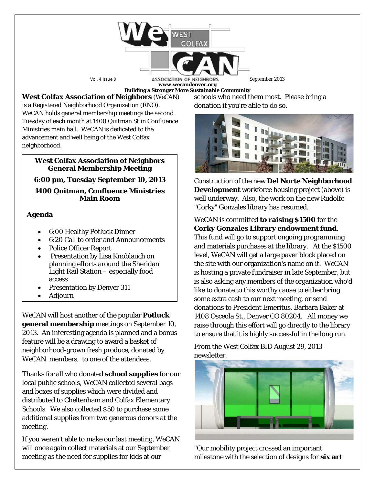

**www.wecandenver.org Building a Stronger More Sustainable Community**

**West Colfax Association of Neighbors** (*WeCAN*) is a Registered Neighborhood Organization (RNO). *WeCAN* holds general membership meetings the second

Tuesday of each month at 1400 Quitman St in Confluence Ministries main hall. *WeCAN* is dedicated to the advancement and well being of the West Colfax neighborhood.

### **West Colfax Association of Neighbors General Membership Meeting**

## **6:00 pm, Tuesday September 10, 2013**

## **1400 Quitman, Confluence Ministries Main Room**

# **Agenda**

- 6:00 Healthy Potluck Dinner
- 6:20 Call to order and Announcements
- Police Officer Report
- Presentation by Lisa Knoblauch on planning efforts around the Sheridan Light Rail Station – especially food access
- Presentation by Denver 311
- Adjourn

*WeCAN* will host another of the popular **Potluck general membership** meetings on September 10, 2013. An interesting agenda is planned and a bonus feature will be a drawing to award a basket of neighborhood-grown fresh produce, donated by *WeCAN* members, to one of the attendees.

Thanks for all who donated **school supplies** for our local public schools, *WeCAN* collected several bags and boxes of supplies which were divided and distributed to Cheltenham and Colfax Elementary Schools. We also collected \$50 to purchase some additional supplies from two generous donors at the meeting.

If you weren't able to make our last meeting, *WeCAN*  will once again collect materials at our September meeting as the need for supplies for kids at our

schools who need them most. Please bring a donation if you're able to do so.



Construction of the new **Del Norte Neighborhood Development** workforce housing project (above) is well underway. Also, the work on the new Rudolfo "Corky" Gonzales library has resumed.

*WeCAN* is committed **to raising \$1500** for the **Corky Gonzales Library endowment fund**.

This fund will go to support ongoing programming and materials purchases at the library. At the \$1500 level, *WeCAN* will get a large paver block placed on the site with our organization's name on it. *WeCAN* is hosting a private fundraiser in late September, but is also asking any members of the organization who'd like to donate to this worthy cause to either bring some extra cash to our next meeting, or send donations to President Emeritus, Barbara Baker at 1408 Osceola St., Denver CO 80204. All money we raise through this effort will go directly to the library to ensure that it is highly successful in the long run.

From the West Colfax BID August 29, 2013 newsletter:



"Our mobility project crossed an important milestone with the selection of designs for **six art**